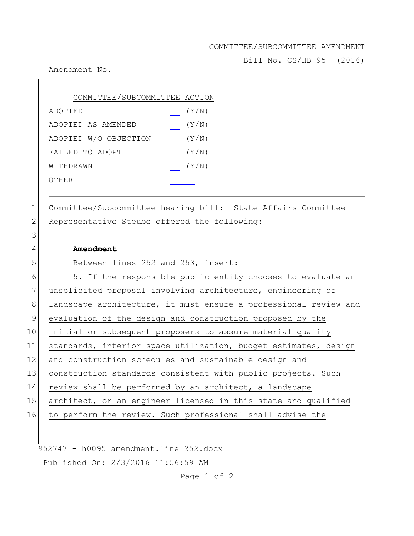#### COMMITTEE/SUBCOMMITTEE AMENDMENT

Bill No. CS/HB 95 (2016)

Amendment No.

| COMMITTEE/SUBCOMMITTEE ACTION |       |
|-------------------------------|-------|
| ADOPTED                       | (Y/N) |
| ADOPTED AS AMENDED            | (Y/N) |
| ADOPTED W/O OBJECTION         | (Y/N) |
| FAILED TO ADOPT               | (Y/N) |
| WITHDRAWN                     | (Y/N) |
| OTHER                         |       |

1 Committee/Subcommittee hearing bill: State Affairs Committee 2 Representative Steube offered the following:

### 4 **Amendment**

3

5 Between lines 252 and 253, insert:

6 5. If the responsible public entity chooses to evaluate an 7 unsolicited proposal involving architecture, engineering or 8 landscape architecture, it must ensure a professional review and 9 evaluation of the design and construction proposed by the 10 initial or subsequent proposers to assure material quality 11 standards, interior space utilization, budget estimates, design 12 and construction schedules and sustainable design and 13 construction standards consistent with public projects. Such 14 review shall be performed by an architect, a landscape 15 architect, or an engineer licensed in this state and qualified 16 to perform the review. Such professional shall advise the

952747 - h0095 amendment.line 252.docx Published On: 2/3/2016 11:56:59 AM

Page 1 of 2